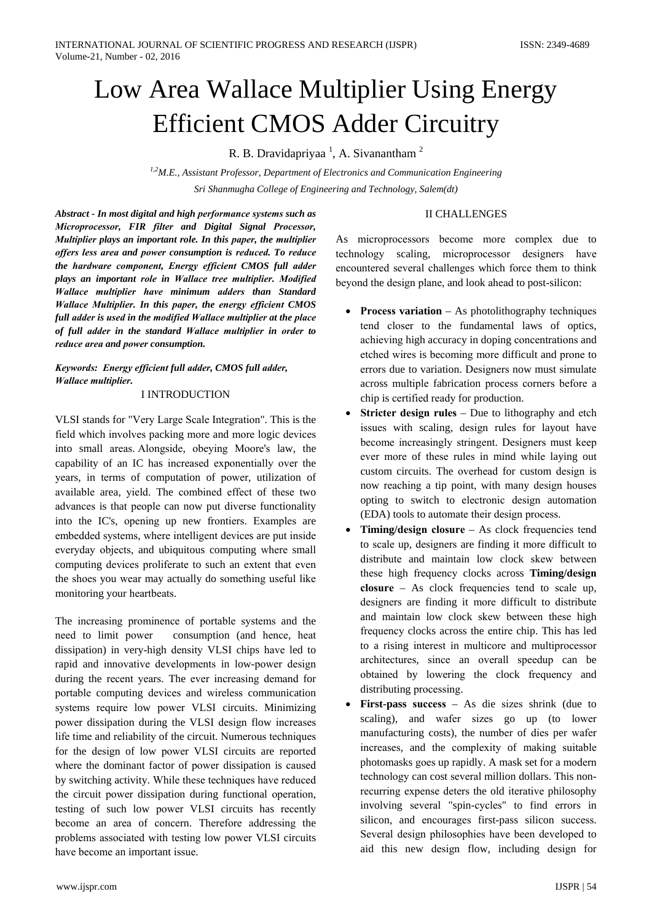# Low Area Wallace Multiplier Using Energy **Efficient CMOS Adder Circuitry**

R. B. Dravidapriyaa<sup>1</sup>, A. Sivanantham<sup>2</sup>

 $1.2$ M.E., Assistant Professor, Department of Electronics and Communication Engineering Sri Shanmugha College of Engineering and Technology, Salem(dt)

## **II CHALLENGES**

Abstract - In most digital and high performance systems such as Microprocessor, FIR filter and Digital Signal Processor, Multiplier plays an important role. In this paper, the multiplier offers less area and power consumption is reduced. To reduce the hardware component, Energy efficient CMOS full adder plays an important role in Wallace tree multiplier. Modified Wallace multiplier have minimum adders than Standard Wallace Multiplier. In this paper, the energy efficient CMOS full adder is used in the modified Wallace multiplier at the place of full adder in the standard Wallace multiplier in order to reduce area and power consumption.

Keywords: Energy efficient full adder, CMOS full adder, **Wallace multiplier.** 

# **LINTRODUCTION**

VLSI stands for "Very Large Scale Integration". This is the field which involves packing more and more logic devices into small areas. Alongside, obeying Moore's law, the capability of an IC has increased exponentially over the years, in terms of computation of power, utilization of available area, yield. The combined effect of these two advances is that people can now put diverse functionality into the IC's, opening up new frontiers. Examples are embedded systems, where intelligent devices are put inside everyday objects, and ubiquitous computing where small computing devices proliferate to such an extent that even the shoes you wear may actually do something useful like monitoring your heartbeats.

The increasing prominence of portable systems and the need to limit power consumption (and hence, heat dissipation) in very-high density VLSI chips have led to rapid and innovative developments in low-power design during the recent years. The ever increasing demand for portable computing devices and wireless communication systems require low power VLSI circuits. Minimizing power dissipation during the VLSI design flow increases life time and reliability of the circuit. Numerous techniques for the design of low power VLSI circuits are reported where the dominant factor of power dissipation is caused by switching activity. While these techniques have reduced the circuit power dissipation during functional operation, testing of such low power VLSI circuits has recently become an area of concern. Therefore addressing the problems associated with testing low power VLSI circuits have become an important issue.

As microprocessors become more complex due to technology scaling, microprocessor designers have encountered several challenges which force them to think beyond the design plane, and look ahead to post-silicon:

- Process variation  $-$  As photolithography techniques tend closer to the fundamental laws of optics, achieving high accuracy in doping concentrations and etched wires is becoming more difficult and prone to errors due to variation. Designers now must simulate across multiple fabrication process corners before a chip is certified ready for production.
- Stricter design rules Due to lithography and etch issues with scaling, design rules for layout have become increasingly stringent. Designers must keep ever more of these rules in mind while laying out custom circuits. The overhead for custom design is now reaching a tip point, with many design houses opting to switch to electronic design automation (EDA) tools to automate their design process.
- Timing/design closure  $-$  As clock frequencies tend to scale up, designers are finding it more difficult to distribute and maintain low clock skew between these high frequency clocks across Timing/design closure  $-$  As clock frequencies tend to scale up, designers are finding it more difficult to distribute and maintain low clock skew between these high frequency clocks across the entire chip. This has led to a rising interest in multicore and multiprocessor architectures, since an overall speedup can be obtained by lowering the clock frequency and distributing processing.
- **First-pass success**  $-$  As die sizes shrink (due to  $\bullet$ scaling), and wafer sizes go up (to lower manufacturing costs), the number of dies per wafer increases, and the complexity of making suitable photomasks goes up rapidly. A mask set for a modern technology can cost several million dollars. This nonrecurring expense deters the old iterative philosophy involving several "spin-cycles" to find errors in silicon, and encourages first-pass silicon success. Several design philosophies have been developed to aid this new design flow, including design for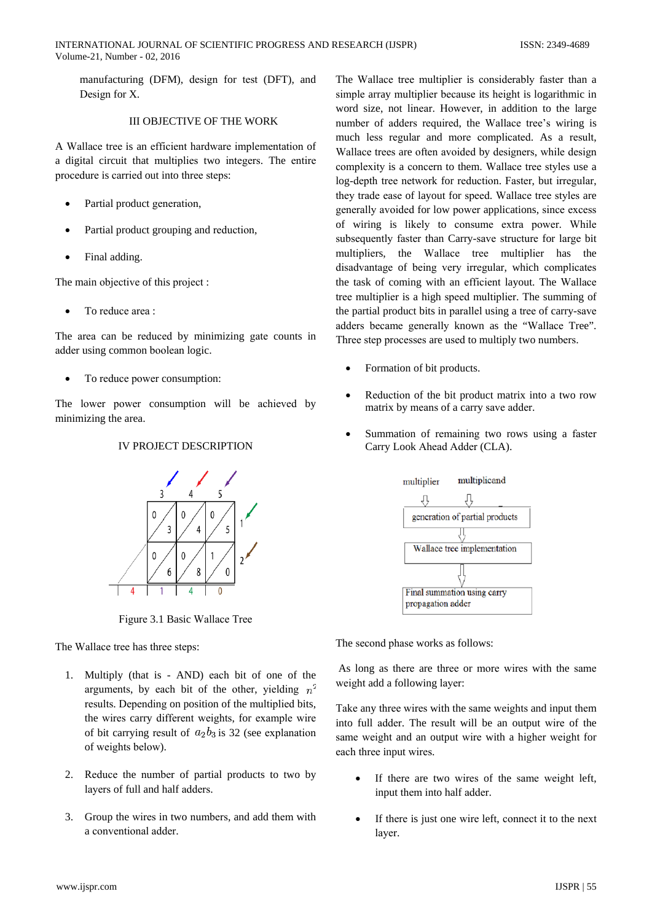manufacturing (DFM), design for test (DFT), and Design for X.

## **III OBJECTIVE OF THE WORK**

A Wallace tree is an efficient hardware implementation of a digital circuit that multiplies two integers. The entire procedure is carried out into three steps:

- Partial product generation,
- Partial product grouping and reduction,
- Final adding.  $\bullet$

The main objective of this project :

To reduce area:

The area can be reduced by minimizing gate counts in adder using common boolean logic.

To reduce power consumption:

The lower power consumption will be achieved by minimizing the area.

# **IV PROJECT DESCRIPTION**



Figure 3.1 Basic Wallace Tree

The Wallace tree has three steps:

- 1. Multiply (that is AND) each bit of one of the arguments, by each bit of the other, yielding  $n^2$ results. Depending on position of the multiplied bits. the wires carry different weights, for example wire of bit carrying result of  $a_2b_3$  is 32 (see explanation of weights below).
- 2. Reduce the number of partial products to two by layers of full and half adders.
- 3. Group the wires in two numbers, and add them with a conventional adder.

The Wallace tree multiplier is considerably faster than a simple array multiplier because its height is logarithmic in word size, not linear. However, in addition to the large number of adders required, the Wallace tree's wiring is much less regular and more complicated. As a result, Wallace trees are often avoided by designers, while design complexity is a concern to them. Wallace tree styles use a log-depth tree network for reduction. Faster, but irregular, they trade ease of layout for speed. Wallace tree styles are generally avoided for low power applications, since excess of wiring is likely to consume extra power. While subsequently faster than Carry-save structure for large bit multipliers, the Wallace tree multiplier has the disadvantage of being very irregular, which complicates the task of coming with an efficient layout. The Wallace tree multiplier is a high speed multiplier. The summing of the partial product bits in parallel using a tree of carry-save adders became generally known as the "Wallace Tree". Three step processes are used to multiply two numbers.

- Formation of bit products.
- Reduction of the bit product matrix into a two row matrix by means of a carry save adder.
- Summation of remaining two rows using a faster Carry Look Ahead Adder (CLA).



The second phase works as follows:

As long as there are three or more wires with the same weight add a following layer:

Take any three wires with the same weights and input them into full adder. The result will be an output wire of the same weight and an output wire with a higher weight for each three input wires.

- If there are two wires of the same weight left, input them into half adder.
- If there is just one wire left, connect it to the next laver.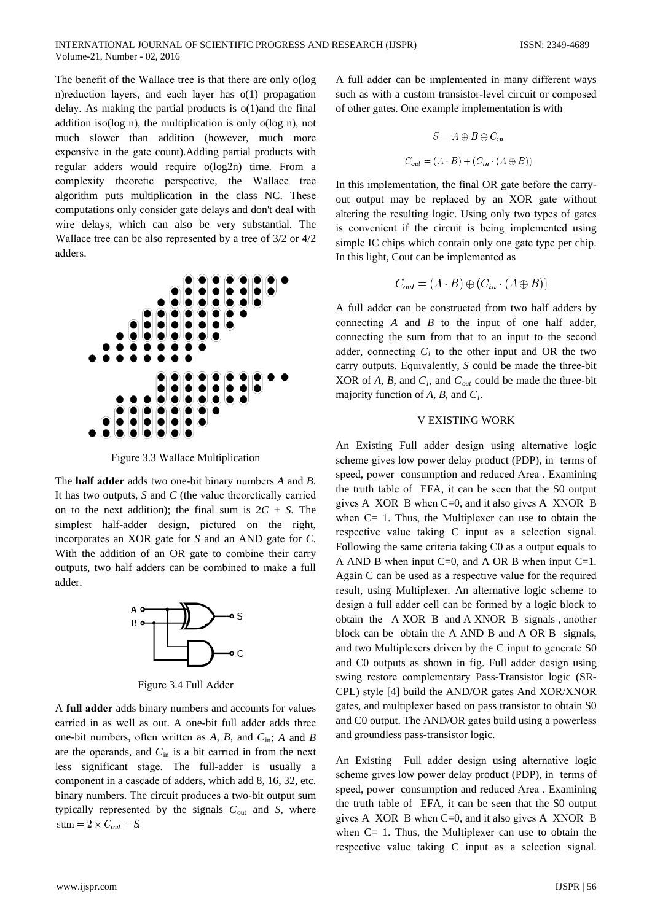The benefit of the Wallace tree is that there are only o(log n) reduction layers, and each layer has  $o(1)$  propagation delay. As making the partial products is  $o(1)$  and the final addition iso( $log n$ ), the multiplication is only  $o(log n)$ , not much slower than addition (however, much more expensive in the gate count). Adding partial products with regular adders would require o(log2n) time. From a complexity theoretic perspective, the Wallace tree algorithm puts multiplication in the class NC. These computations only consider gate delays and don't deal with wire delays, which can also be very substantial. The Wallace tree can be also represented by a tree of  $3/2$  or  $4/2$ adders.



Figure 3.3 Wallace Multiplication

The **half adder** adds two one-bit binary numbers  $A$  and  $B$ . It has two outputs,  $S$  and  $C$  (the value theoretically carried on to the next addition); the final sum is  $2C + S$ . The simplest half-adder design, pictured on the right, incorporates an XOR gate for  $S$  and an AND gate for  $C$ . With the addition of an OR gate to combine their carry outputs, two half adders can be combined to make a full adder.



Figure 3.4 Full Adder

A full adder adds binary numbers and accounts for values carried in as well as out. A one-bit full adder adds three one-bit numbers, often written as A, B, and  $C_{\text{in}}$ ; A and B are the operands, and  $C_{\text{in}}$  is a bit carried in from the next less significant stage. The full-adder is usually a component in a cascade of adders, which add 8, 16, 32, etc. binary numbers. The circuit produces a two-bit output sum typically represented by the signals  $C_{\text{out}}$  and S, where  $sum = 2 \times C_{out} + S$ 

A full adder can be implemented in many different ways such as with a custom transistor-level circuit or composed of other gates. One example implementation is with

$$
S = A \oplus B \oplus C_{in}
$$

$$
C_{out} = (A \cdot B) + (C_{in} \cdot (A \oplus B))
$$

In this implementation, the final OR gate before the carryout output may be replaced by an XOR gate without altering the resulting logic. Using only two types of gates is convenient if the circuit is being implemented using simple IC chips which contain only one gate type per chip. In this light, Cout can be implemented as

$$
C_{out} = (A \cdot B) \oplus (C_{in} \cdot (A \oplus B))
$$

A full adder can be constructed from two half adders by connecting  $A$  and  $B$  to the input of one half adder, connecting the sum from that to an input to the second adder, connecting  $C_i$  to the other input and OR the two carry outputs. Equivalently, S could be made the three-bit XOR of A, B, and  $C_i$ , and  $C_{out}$  could be made the three-bit majority function of A, B, and  $C_i$ .

#### **V EXISTING WORK**

An Existing Full adder design using alternative logic scheme gives low power delay product (PDP), in terms of speed, power consumption and reduced Area. Examining the truth table of EFA, it can be seen that the S0 output gives A XOR B when  $C=0$ , and it also gives A XNOR B when  $C = 1$ . Thus, the Multiplexer can use to obtain the respective value taking C input as a selection signal. Following the same criteria taking C0 as a output equals to A AND B when input  $C=0$ , and A OR B when input  $C=1$ . Again C can be used as a respective value for the required result, using Multiplexer. An alternative logic scheme to design a full adder cell can be formed by a logic block to obtain the A XOR B and A XNOR B signals, another block can be obtain the A AND B and A OR B signals, and two Multiplexers driven by the C input to generate S0 and C0 outputs as shown in fig. Full adder design using swing restore complementary Pass-Transistor logic (SR-CPL) style [4] build the AND/OR gates And XOR/XNOR gates, and multiplexer based on pass transistor to obtain S0 and C0 output. The AND/OR gates build using a powerless and groundless pass-transistor logic.

An Existing Full adder design using alternative logic scheme gives low power delay product (PDP), in terms of speed, power consumption and reduced Area. Examining the truth table of EFA, it can be seen that the S0 output gives A XOR B when  $C=0$ , and it also gives A XNOR B when  $C = 1$ . Thus, the Multiplexer can use to obtain the respective value taking C input as a selection signal.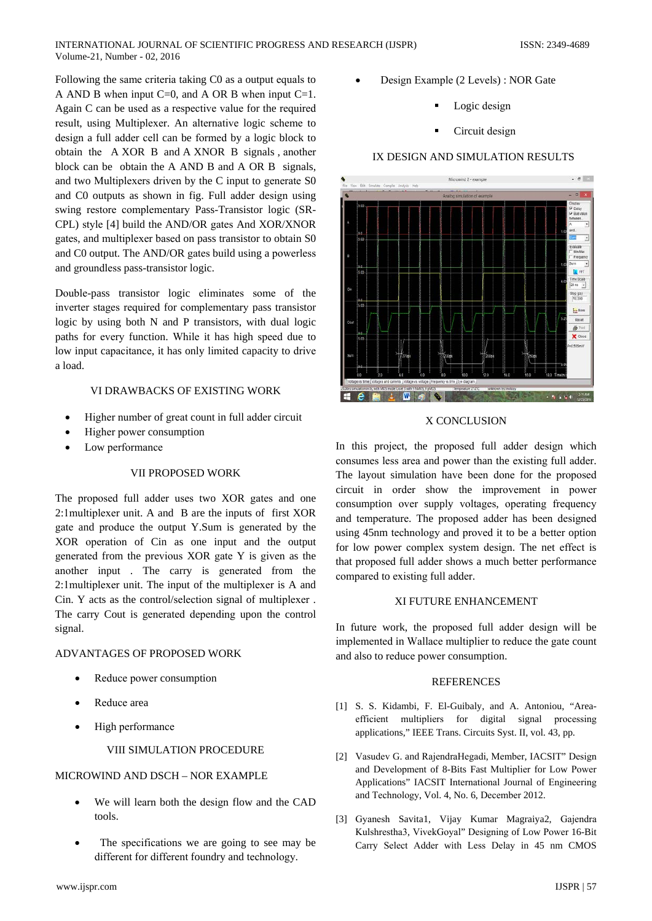Following the same criteria taking C0 as a output equals to A AND B when input  $C=0$ , and A OR B when input  $C=1$ . Again C can be used as a respective value for the required result, using Multiplexer. An alternative logic scheme to design a full adder cell can be formed by a logic block to obtain the A XOR B and A XNOR B signals, another block can be obtain the A AND B and A OR B signals, and two Multiplexers driven by the C input to generate S0 and C0 outputs as shown in fig. Full adder design using swing restore complementary Pass-Transistor logic (SR-CPL) style [4] build the AND/OR gates And XOR/XNOR gates, and multiplexer based on pass transistor to obtain S0 and C0 output. The AND/OR gates build using a powerless and groundless pass-transistor logic.

Double-pass transistor logic eliminates some of the inverter stages required for complementary pass transistor logic by using both N and P transistors, with dual logic paths for every function. While it has high speed due to low input capacitance, it has only limited capacity to drive a load.

# VI DRAWBACKS OF EXISTING WORK

- Higher number of great count in full adder circuit
- Higher power consumption
- Low performance  $\bullet$

#### VII PROPOSED WORK

The proposed full adder uses two XOR gates and one 2:1 multiplexer unit. A and B are the inputs of first XOR gate and produce the output Y.Sum is generated by the XOR operation of Cin as one input and the output generated from the previous XOR gate Y is given as the another input. The carry is generated from the 2:1 multiplexer unit. The input of the multiplexer is A and Cin. Y acts as the control/selection signal of multiplexer. The carry Cout is generated depending upon the control signal.

#### ADVANTAGES OF PROPOSED WORK

- Reduce power consumption
- Reduce area
- High performance

# VIII SIMULATION PROCEDURE

# MICROWIND AND DSCH - NOR EXAMPLE

- We will learn both the design flow and the CAD tools.
- The specifications we are going to see may be different for different foundry and technology.
- 
- Design Example (2 Levels) : NOR Gate
	- Logic design
	- Circuit design

## IX DESIGN AND SIMULATION RESULTS



## X CONCLUSION

In this project, the proposed full adder design which consumes less area and power than the existing full adder. The layout simulation have been done for the proposed circuit in order show the improvement in power consumption over supply voltages, operating frequency and temperature. The proposed adder has been designed using 45nm technology and proved it to be a better option for low power complex system design. The net effect is that proposed full adder shows a much better performance compared to existing full adder.

#### XI FUTURE ENHANCEMENT

In future work, the proposed full adder design will be implemented in Wallace multiplier to reduce the gate count and also to reduce power consumption.

## **REFERENCES**

- [1] S. S. Kidambi, F. El-Guibaly, and A. Antoniou, "Areaefficient multipliers for digital signal processing applications," IEEE Trans. Circuits Syst. II, vol. 43, pp.
- [2] Vasudev G. and RajendraHegadi, Member, IACSIT" Design and Development of 8-Bits Fast Multiplier for Low Power Applications" IACSIT International Journal of Engineering and Technology, Vol. 4, No. 6, December 2012.
- [3] Gyanesh Savita1, Vijay Kumar Magraiya2, Gajendra Kulshrestha3, VivekGoval" Designing of Low Power 16-Bit Carry Select Adder with Less Delay in 45 nm CMOS